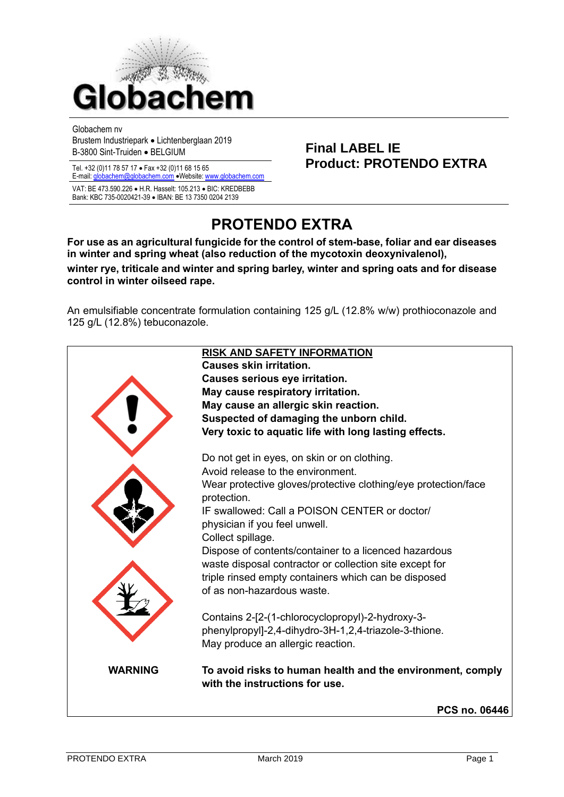

Globachem nv

Brustem Industriepark • Lichtenberglaan 2019 Brusten muustilepark • Elchtenbergiaan 2019<br>B-3800 Sint-Truiden • BELGIUM

E-mail[: globachem@globachem.com](mailto:globachem@globachem.com) •Website[: www.globachem.com](mailto:globachem@globachem.com)

VAT: BE 473.590.226 • H.R. Hasselt: 105.213 • BIC: KREDBEBB Bank: KBC 735-0020421-39 • IBAN: BE 13 7350 0204 2139

# Tel. +32 (0)11 78 57 17 • Fax +32 (0)11 68 15 65 **Product: PROTENDO EXTRA**

## **PROTENDO EXTRA**

**For use as an agricultural fungicide for the control of stem-base, foliar and ear diseases in winter and spring wheat (also reduction of the mycotoxin deoxynivalenol), winter rye, triticale and winter and spring barley, winter and spring oats and for disease control in winter oilseed rape.**

An emulsifiable concentrate formulation containing 125 g/L (12.8% w/w) prothioconazole and 125 g/L (12.8%) tebuconazole.

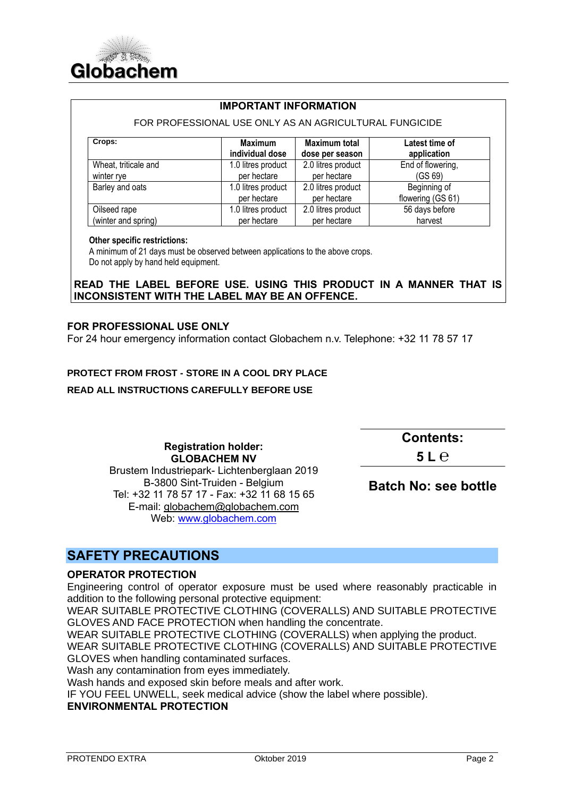

#### **IMPORTANT INFORMATION**

#### FOR PROFESSIONAL USE ONLY AS AN AGRICULTURAL FUNGICIDE

| Crops:               | <b>Maximum</b>     | <b>Maximum total</b> | Latest time of    |
|----------------------|--------------------|----------------------|-------------------|
|                      | individual dose    | dose per season      | application       |
| Wheat, triticale and | 1.0 litres product | 2.0 litres product   | End of flowering, |
| winter rye           | per hectare        | per hectare          | (GS 69)           |
| Barley and oats      | 1.0 litres product | 2.0 litres product   | Beginning of      |
|                      | per hectare        | per hectare          | flowering (GS 61) |
| Oilseed rape         | 1.0 litres product | 2.0 litres product   | 56 days before    |
| (winter and spring)  | per hectare        | per hectare          | harvest           |

#### **Other specific restrictions:**

 A minimum of 21 days must be observed between applications to the above crops. Do not apply by hand held equipment.

#### **READ THE LABEL BEFORE USE. USING THIS PRODUCT IN A MANNER THAT IS INCONSISTENT WITH THE LABEL MAY BE AN OFFENCE.**

#### **FOR PROFESSIONAL USE ONLY**

For 24 hour emergency information contact Globachem n.v. Telephone: +32 11 78 57 17

#### **PROTECT FROM FROST - STORE IN A COOL DRY PLACE**

#### **READ ALL INSTRUCTIONS CAREFULLY BEFORE USE**

**Registration holder: GLOBACHEM NV** Brustem Industriepark- Lichtenberglaan 2019 B-3800 Sint-Truiden - Belgium Tel: +32 11 78 57 17 - Fax: +32 11 68 15 65 E-mail: [globachem@globachem.com](mailto:globachem@globachem.com) Web: [www.globachem.com](http://www.globachem.com/)

**Contents:** 

**5 L ℮**

**Batch No: see bottle**

## **SAFETY PRECAUTIONS**

#### **OPERATOR PROTECTION**

Engineering control of operator exposure must be used where reasonably practicable in addition to the following personal protective equipment:

WEAR SUITABLE PROTECTIVE CLOTHING (COVERALLS) AND SUITABLE PROTECTIVE GLOVES AND FACE PROTECTION when handling the concentrate.

WEAR SUITABLE PROTECTIVE CLOTHING (COVERALLS) when applying the product.

WEAR SUITABLE PROTECTIVE CLOTHING (COVERALLS) AND SUITABLE PROTECTIVE GLOVES when handling contaminated surfaces.

Wash any contamination from eyes immediately.

Wash hands and exposed skin before meals and after work.

IF YOU FEEL UNWELL, seek medical advice (show the label where possible).

#### **ENVIRONMENTAL PROTECTION**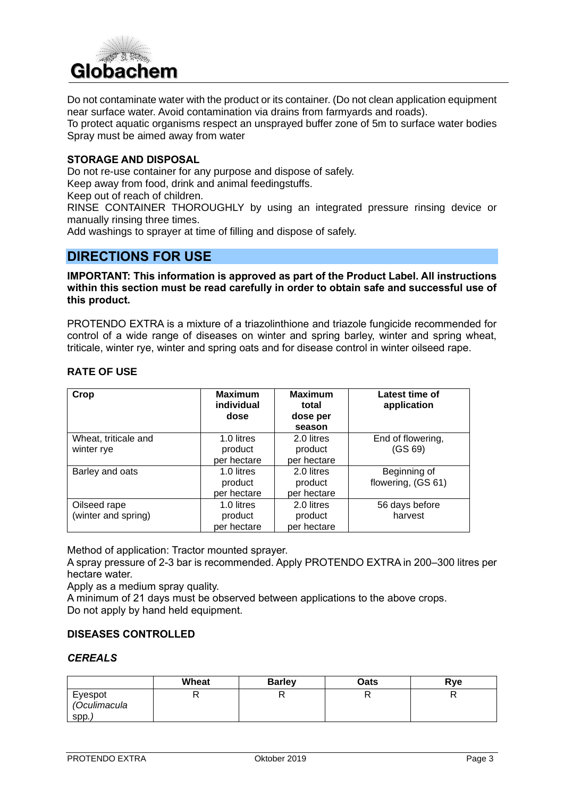

Do not contaminate water with the product or its container. (Do not clean application equipment near surface water. Avoid contamination via drains from farmyards and roads).

To protect aquatic organisms respect an unsprayed buffer zone of 5m to surface water bodies Spray must be aimed away from water

#### **STORAGE AND DISPOSAL**

Do not re-use container for any purpose and dispose of safely.

Keep away from food, drink and animal feedingstuffs.

Keep out of reach of children.

RINSE CONTAINER THOROUGHLY by using an integrated pressure rinsing device or manually rinsing three times.

Add washings to sprayer at time of filling and dispose of safely.

### **DIRECTIONS FOR USE**

#### **IMPORTANT: This information is approved as part of the Product Label. All instructions within this section must be read carefully in order to obtain safe and successful use of this product.**

PROTENDO EXTRA is a mixture of a triazolinthione and triazole fungicide recommended for control of a wide range of diseases on winter and spring barley, winter and spring wheat, triticale, winter rye, winter and spring oats and for disease control in winter oilseed rape.

#### **RATE OF USE**

| Crop                                | <b>Maximum</b><br>individual<br>dose                | <b>Maximum</b><br>total<br>dose per<br>season       | Latest time of<br>application      |
|-------------------------------------|-----------------------------------------------------|-----------------------------------------------------|------------------------------------|
| Wheat, triticale and<br>winter rye  | 1.0 litres<br>product                               | 2.0 litres<br>product                               | End of flowering,<br>(GS 69)       |
| Barley and oats                     | per hectare<br>1.0 litres<br>product<br>per hectare | per hectare<br>2.0 litres<br>product<br>per hectare | Beginning of<br>flowering, (GS 61) |
| Oilseed rape<br>(winter and spring) | 1.0 litres<br>product<br>per hectare                | 2.0 litres<br>product<br>per hectare                | 56 days before<br>harvest          |

Method of application: Tractor mounted sprayer.

A spray pressure of 2-3 bar is recommended. Apply PROTENDO EXTRA in 200–300 litres per hectare water.

Apply as a medium spray quality.

A minimum of 21 days must be observed between applications to the above crops. Do not apply by hand held equipment.

#### **DISEASES CONTROLLED**

#### *CEREALS*

|                                 | Wheat    | <b>Barley</b> | Oats | Rye |
|---------------------------------|----------|---------------|------|-----|
| Eyespot<br>(Oculimacula<br>SDD. | D<br>' ' |               |      |     |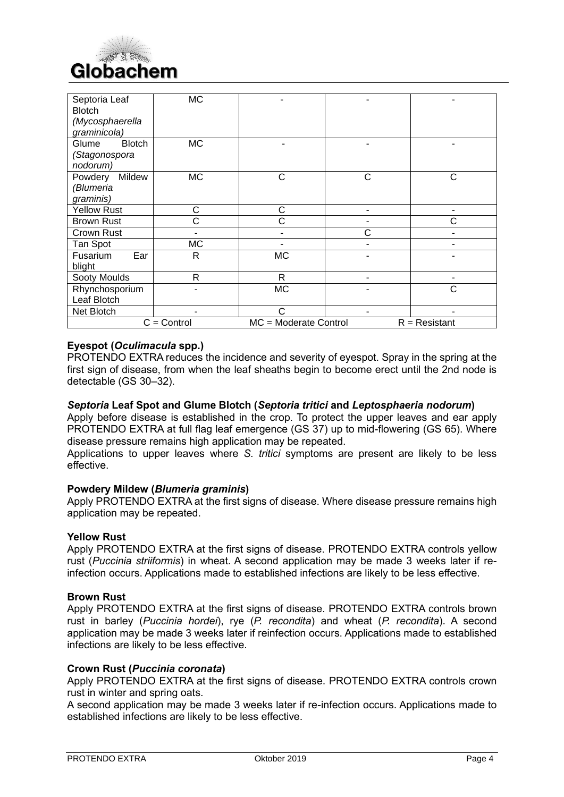

| Septoria Leaf<br><b>Blotch</b><br>(Mycosphaerella<br>graminicola) | <b>MC</b>      |                       |   |                 |
|-------------------------------------------------------------------|----------------|-----------------------|---|-----------------|
| Glume<br><b>Blotch</b><br>(Stagonospora<br>nodorum)               | <b>MC</b>      |                       |   | ۰               |
| Powdery<br>Mildew<br>(Blumeria<br>graminis)                       | <b>MC</b>      | С                     | C | C               |
| <b>Yellow Rust</b>                                                | C              | C                     |   | ۰               |
| <b>Brown Rust</b>                                                 | С              | С                     |   | С               |
| Crown Rust                                                        | $\blacksquare$ | ۰                     | Ć | $\blacksquare$  |
| Tan Spot                                                          | <b>MC</b>      |                       |   |                 |
| Ear<br>Fusarium<br>blight                                         | R              | MC                    |   |                 |
| Sooty Moulds                                                      | R              | R                     |   | $\blacksquare$  |
| Rhynchosporium<br>Leaf Blotch                                     |                | МC                    |   | C               |
| Net Blotch                                                        |                | C                     |   |                 |
|                                                                   | $C =$ Control  | MC = Moderate Control |   | $R =$ Resistant |

#### **Eyespot (***Oculimacula* **spp.)**

PROTENDO EXTRA reduces the incidence and severity of eyespot. Spray in the spring at the first sign of disease, from when the leaf sheaths begin to become erect until the 2nd node is detectable (GS 30–32).

#### *Septoria* **Leaf Spot and Glume Blotch (***Septoria tritici* **and** *Leptosphaeria nodorum***)**

Apply before disease is established in the crop. To protect the upper leaves and ear apply PROTENDO EXTRA at full flag leaf emergence (GS 37) up to mid-flowering (GS 65). Where disease pressure remains high application may be repeated.

Applications to upper leaves where *S. tritici* symptoms are present are likely to be less effective.

#### **Powdery Mildew (***Blumeria graminis***)**

Apply PROTENDO EXTRA at the first signs of disease. Where disease pressure remains high application may be repeated.

#### **Yellow Rust**

Apply PROTENDO EXTRA at the first signs of disease. PROTENDO EXTRA controls yellow rust (*Puccinia striiformis*) in wheat. A second application may be made 3 weeks later if reinfection occurs. Applications made to established infections are likely to be less effective.

#### **Brown Rust**

Apply PROTENDO EXTRA at the first signs of disease. PROTENDO EXTRA controls brown rust in barley (*Puccinia hordei*), rye (*P. recondita*) and wheat (*P. recondita*). A second application may be made 3 weeks later if reinfection occurs. Applications made to established infections are likely to be less effective.

#### **Crown Rust (***Puccinia coronata***)**

Apply PROTENDO EXTRA at the first signs of disease. PROTENDO EXTRA controls crown rust in winter and spring oats.

A second application may be made 3 weeks later if re-infection occurs. Applications made to established infections are likely to be less effective.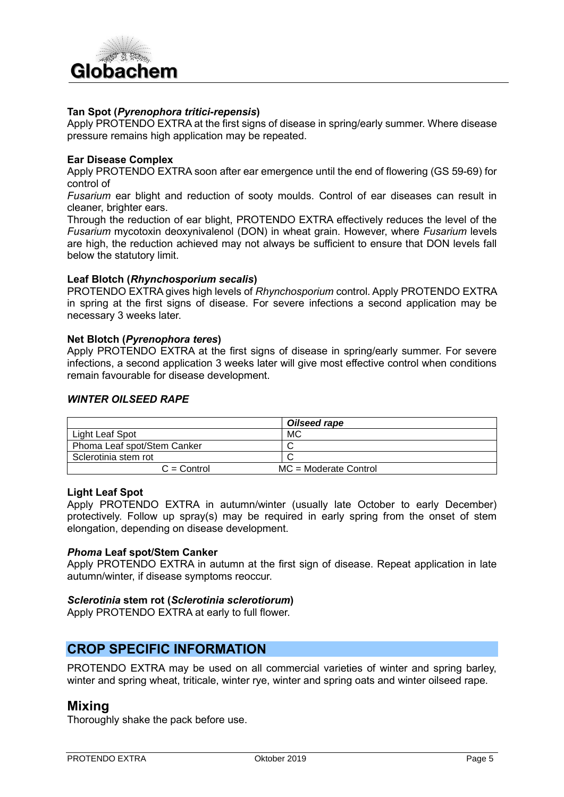

#### **Tan Spot (***Pyrenophora tritici-repensis***)**

Apply PROTENDO EXTRA at the first signs of disease in spring/early summer. Where disease pressure remains high application may be repeated.

#### **Ear Disease Complex**

Apply PROTENDO EXTRA soon after ear emergence until the end of flowering (GS 59-69) for control of

*Fusarium* ear blight and reduction of sooty moulds. Control of ear diseases can result in cleaner, brighter ears.

Through the reduction of ear blight, PROTENDO EXTRA effectively reduces the level of the *Fusarium* mycotoxin deoxynivalenol (DON) in wheat grain. However, where *Fusarium* levels are high, the reduction achieved may not always be sufficient to ensure that DON levels fall below the statutory limit.

#### **Leaf Blotch (***Rhynchosporium secalis***)**

PROTENDO EXTRA gives high levels of *Rhynchosporium* control. Apply PROTENDO EXTRA in spring at the first signs of disease. For severe infections a second application may be necessary 3 weeks later.

#### **Net Blotch (***Pyrenophora teres***)**

Apply PROTENDO EXTRA at the first signs of disease in spring/early summer. For severe infections, a second application 3 weeks later will give most effective control when conditions remain favourable for disease development.

#### *WINTER OILSEED RAPE*

|                             | Oilseed rape            |
|-----------------------------|-------------------------|
| Light Leaf Spot             | MC                      |
| Phoma Leaf spot/Stem Canker |                         |
| Sclerotinia stem rot        |                         |
| $C =$ Control               | $MC = Moderate Control$ |

#### **Light Leaf Spot**

Apply PROTENDO EXTRA in autumn/winter (usually late October to early December) protectively. Follow up spray(s) may be required in early spring from the onset of stem elongation, depending on disease development.

#### *Phoma* **Leaf spot/Stem Canker**

Apply PROTENDO EXTRA in autumn at the first sign of disease. Repeat application in late autumn/winter, if disease symptoms reoccur.

#### *Sclerotinia* **stem rot (***Sclerotinia sclerotiorum***)**

Apply PROTENDO EXTRA at early to full flower.

## **CROP SPECIFIC INFORMATION**

PROTENDO EXTRA may be used on all commercial varieties of winter and spring barley, winter and spring wheat, triticale, winter rye, winter and spring oats and winter oilseed rape.

#### **Mixing**

Thoroughly shake the pack before use.